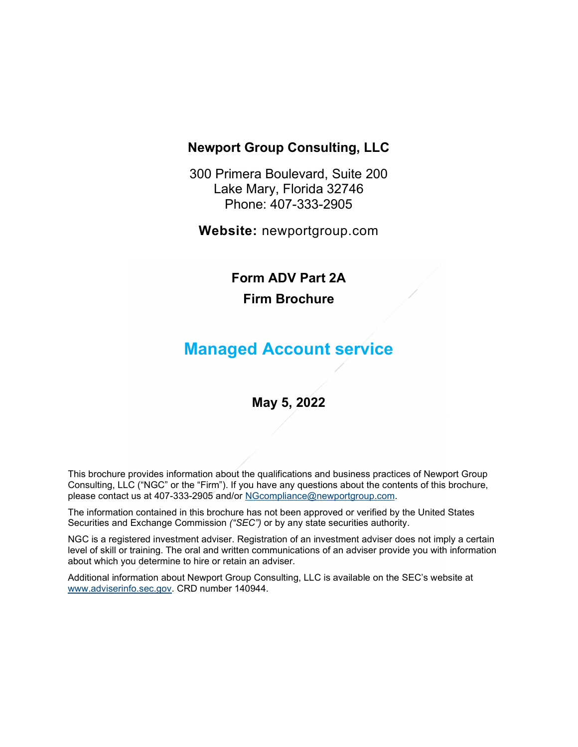## Newport Group Consulting, LLC

300 Primera Boulevard, Suite 200 Lake Mary, Florida 32746 Phone: 407-333-2905

Website: newportgroup.com

# Form ADV Part 2A Firm Brochure

# Managed Account service

## May 5, 2022

This brochure provides information about the qualifications and business practices of Newport Group Consulting, LLC ("NGC" or the "Firm"). If you have any questions about the contents of this brochure, please contact us at 407-333-2905 and/or NGcompliance@newportgroup.com.

The information contained in this brochure has not been approved or verified by the United States Securities and Exchange Commission ("SEC") or by any state securities authority.

NGC is a registered investment adviser. Registration of an investment adviser does not imply a certain level of skill or training. The oral and written communications of an adviser provide you with information about which you determine to hire or retain an adviser.

Additional information about Newport Group Consulting, LLC is available on the SEC's website at www.adviserinfo.sec.gov. CRD number 140944.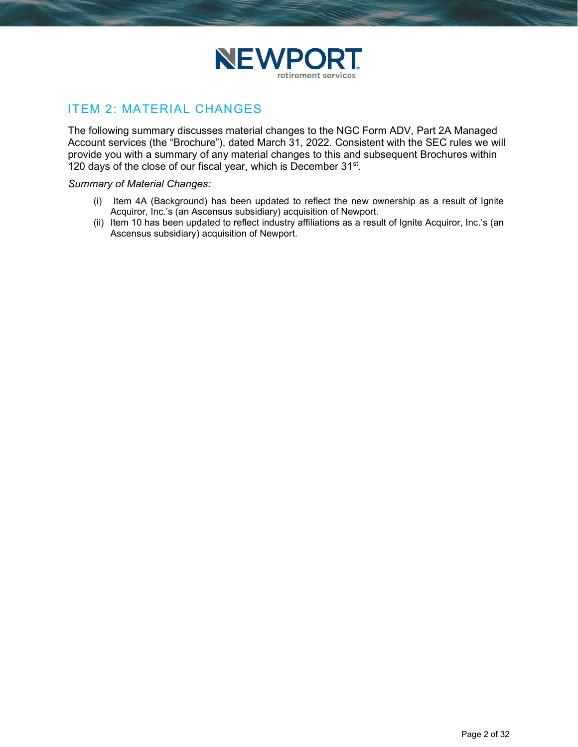

## ITEM 2: MATERIAL CHANGES

The following summary discusses material changes to the NGC Form ADV, Part 2A Managed Account services (the "Brochure"), dated March 31, 2022. Consistent with the SEC rules we will provide you with a summary of any material changes to this and subsequent Brochures within 120 days of the close of our fiscal year, which is December 31<sup>st</sup>.

#### Summary of Material Changes:

- (i) Item 4A (Background) has been updated to reflect the new ownership as a result of Ignite Acquiror, Inc.'s (an Ascensus subsidiary) acquisition of Newport.
- (ii) Item 10 has been updated to reflect industry affiliations as a result of Ignite Acquiror, Inc.'s (an Ascensus subsidiary) acquisition of Newport.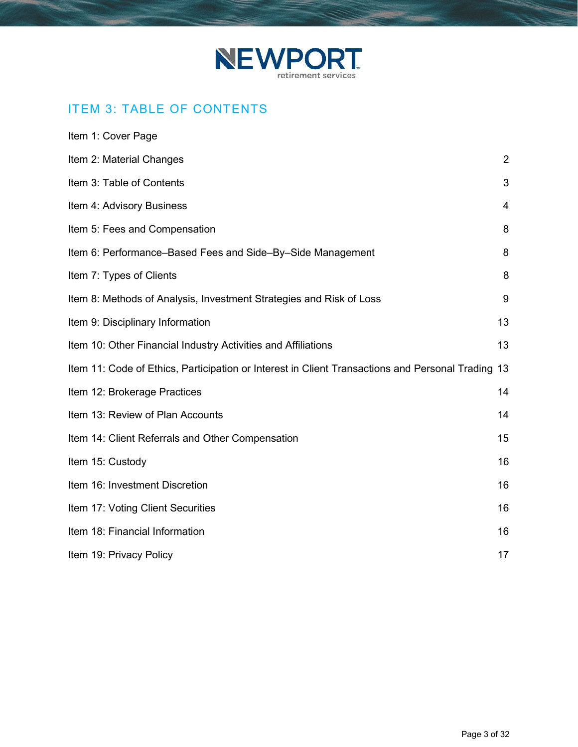

# ITEM 3: TABLE OF CONTENTS

| Item 1: Cover Page                                                                                |                |
|---------------------------------------------------------------------------------------------------|----------------|
| Item 2: Material Changes                                                                          | $\overline{2}$ |
| Item 3: Table of Contents                                                                         | 3              |
| Item 4: Advisory Business                                                                         | $\overline{4}$ |
| Item 5: Fees and Compensation                                                                     | 8              |
| Item 6: Performance–Based Fees and Side–By–Side Management                                        | 8              |
| Item 7: Types of Clients                                                                          | 8              |
| Item 8: Methods of Analysis, Investment Strategies and Risk of Loss                               | 9              |
| Item 9: Disciplinary Information                                                                  | 13             |
| Item 10: Other Financial Industry Activities and Affiliations                                     | 13             |
| Item 11: Code of Ethics, Participation or Interest in Client Transactions and Personal Trading 13 |                |
| Item 12: Brokerage Practices                                                                      | 14             |
| Item 13: Review of Plan Accounts                                                                  | 14             |
| Item 14: Client Referrals and Other Compensation                                                  | 15             |
| Item 15: Custody                                                                                  | 16             |
| Item 16: Investment Discretion                                                                    | 16             |
| Item 17: Voting Client Securities                                                                 | 16             |
| Item 18: Financial Information                                                                    | 16             |
| Item 19: Privacy Policy                                                                           | 17             |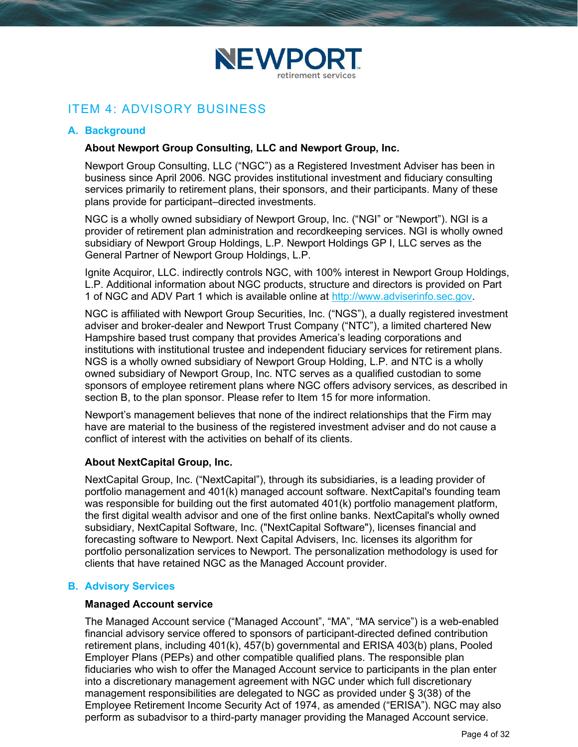

## ITEM 4: ADVISORY BUSINESS

### A. Background

### About Newport Group Consulting, LLC and Newport Group, Inc.

Newport Group Consulting, LLC ("NGC") as a Registered Investment Adviser has been in business since April 2006. NGC provides institutional investment and fiduciary consulting services primarily to retirement plans, their sponsors, and their participants. Many of these plans provide for participant–directed investments.

NGC is a wholly owned subsidiary of Newport Group, Inc. ("NGI" or "Newport"). NGI is a provider of retirement plan administration and recordkeeping services. NGI is wholly owned subsidiary of Newport Group Holdings, L.P. Newport Holdings GP I, LLC serves as the General Partner of Newport Group Holdings, L.P.

Ignite Acquiror, LLC. indirectly controls NGC, with 100% interest in Newport Group Holdings, L.P. Additional information about NGC products, structure and directors is provided on Part 1 of NGC and ADV Part 1 which is available online at http://www.adviserinfo.sec.gov.

NGC is affiliated with Newport Group Securities, Inc. ("NGS"), a dually registered investment adviser and broker-dealer and Newport Trust Company ("NTC"), a limited chartered New Hampshire based trust company that provides America's leading corporations and institutions with institutional trustee and independent fiduciary services for retirement plans. NGS is a wholly owned subsidiary of Newport Group Holding, L.P. and NTC is a wholly owned subsidiary of Newport Group, Inc. NTC serves as a qualified custodian to some sponsors of employee retirement plans where NGC offers advisory services, as described in section B, to the plan sponsor. Please refer to Item 15 for more information.

Newport's management believes that none of the indirect relationships that the Firm may have are material to the business of the registered investment adviser and do not cause a conflict of interest with the activities on behalf of its clients.

### About NextCapital Group, Inc.

NextCapital Group, Inc. ("NextCapital"), through its subsidiaries, is a leading provider of portfolio management and 401(k) managed account software. NextCapital's founding team was responsible for building out the first automated 401(k) portfolio management platform, the first digital wealth advisor and one of the first online banks. NextCapital's wholly owned subsidiary, NextCapital Software, Inc. ("NextCapital Software"), licenses financial and forecasting software to Newport. Next Capital Advisers, Inc. licenses its algorithm for portfolio personalization services to Newport. The personalization methodology is used for clients that have retained NGC as the Managed Account provider.

### B. Advisory Services

#### Managed Account service

The Managed Account service ("Managed Account", "MA", "MA service") is a web-enabled financial advisory service offered to sponsors of participant-directed defined contribution retirement plans, including 401(k), 457(b) governmental and ERISA 403(b) plans, Pooled Employer Plans (PEPs) and other compatible qualified plans. The responsible plan fiduciaries who wish to offer the Managed Account service to participants in the plan enter into a discretionary management agreement with NGC under which full discretionary management responsibilities are delegated to NGC as provided under § 3(38) of the Employee Retirement Income Security Act of 1974, as amended ("ERISA"). NGC may also perform as subadvisor to a third-party manager providing the Managed Account service.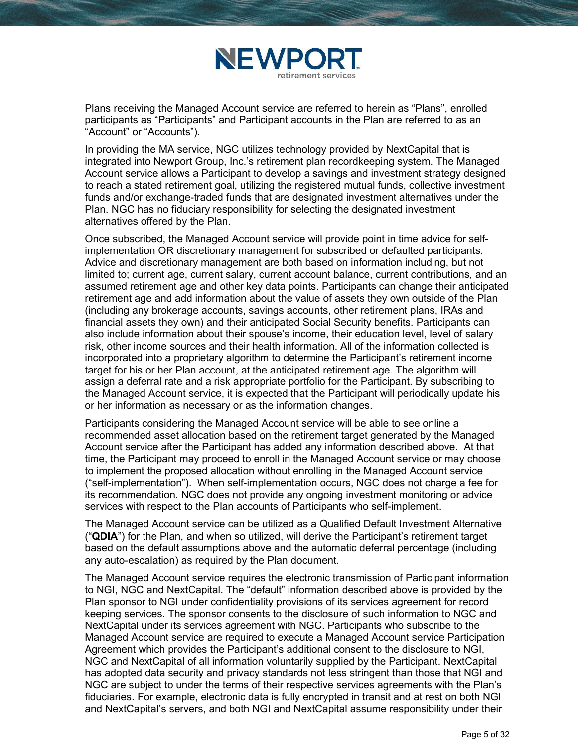

Plans receiving the Managed Account service are referred to herein as "Plans", enrolled participants as "Participants" and Participant accounts in the Plan are referred to as an "Account" or "Accounts").

In providing the MA service, NGC utilizes technology provided by NextCapital that is integrated into Newport Group, Inc.'s retirement plan recordkeeping system. The Managed Account service allows a Participant to develop a savings and investment strategy designed to reach a stated retirement goal, utilizing the registered mutual funds, collective investment funds and/or exchange-traded funds that are designated investment alternatives under the Plan. NGC has no fiduciary responsibility for selecting the designated investment alternatives offered by the Plan.

Once subscribed, the Managed Account service will provide point in time advice for selfimplementation OR discretionary management for subscribed or defaulted participants. Advice and discretionary management are both based on information including, but not limited to; current age, current salary, current account balance, current contributions, and an assumed retirement age and other key data points. Participants can change their anticipated retirement age and add information about the value of assets they own outside of the Plan (including any brokerage accounts, savings accounts, other retirement plans, IRAs and financial assets they own) and their anticipated Social Security benefits. Participants can also include information about their spouse's income, their education level, level of salary risk, other income sources and their health information. All of the information collected is incorporated into a proprietary algorithm to determine the Participant's retirement income target for his or her Plan account, at the anticipated retirement age. The algorithm will assign a deferral rate and a risk appropriate portfolio for the Participant. By subscribing to the Managed Account service, it is expected that the Participant will periodically update his or her information as necessary or as the information changes.

Participants considering the Managed Account service will be able to see online a recommended asset allocation based on the retirement target generated by the Managed Account service after the Participant has added any information described above. At that time, the Participant may proceed to enroll in the Managed Account service or may choose to implement the proposed allocation without enrolling in the Managed Account service ("self-implementation"). When self-implementation occurs, NGC does not charge a fee for its recommendation. NGC does not provide any ongoing investment monitoring or advice services with respect to the Plan accounts of Participants who self-implement.

The Managed Account service can be utilized as a Qualified Default Investment Alternative ("QDIA") for the Plan, and when so utilized, will derive the Participant's retirement target based on the default assumptions above and the automatic deferral percentage (including any auto-escalation) as required by the Plan document.

The Managed Account service requires the electronic transmission of Participant information to NGI, NGC and NextCapital. The "default" information described above is provided by the Plan sponsor to NGI under confidentiality provisions of its services agreement for record keeping services. The sponsor consents to the disclosure of such information to NGC and NextCapital under its services agreement with NGC. Participants who subscribe to the Managed Account service are required to execute a Managed Account service Participation Agreement which provides the Participant's additional consent to the disclosure to NGI, NGC and NextCapital of all information voluntarily supplied by the Participant. NextCapital has adopted data security and privacy standards not less stringent than those that NGI and NGC are subject to under the terms of their respective services agreements with the Plan's fiduciaries. For example, electronic data is fully encrypted in transit and at rest on both NGI and NextCapital's servers, and both NGI and NextCapital assume responsibility under their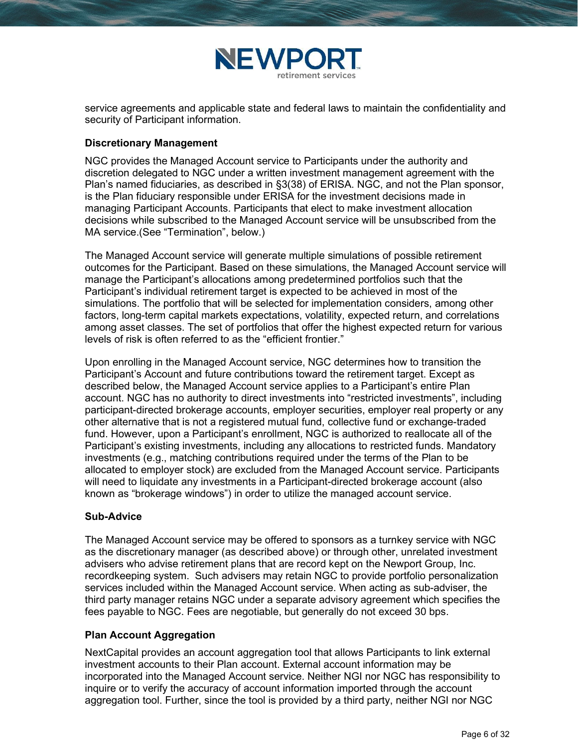

service agreements and applicable state and federal laws to maintain the confidentiality and security of Participant information.

### Discretionary Management

NGC provides the Managed Account service to Participants under the authority and discretion delegated to NGC under a written investment management agreement with the Plan's named fiduciaries, as described in §3(38) of ERISA. NGC, and not the Plan sponsor, is the Plan fiduciary responsible under ERISA for the investment decisions made in managing Participant Accounts. Participants that elect to make investment allocation decisions while subscribed to the Managed Account service will be unsubscribed from the MA service.(See "Termination", below.)

The Managed Account service will generate multiple simulations of possible retirement outcomes for the Participant. Based on these simulations, the Managed Account service will manage the Participant's allocations among predetermined portfolios such that the Participant's individual retirement target is expected to be achieved in most of the simulations. The portfolio that will be selected for implementation considers, among other factors, long-term capital markets expectations, volatility, expected return, and correlations among asset classes. The set of portfolios that offer the highest expected return for various levels of risk is often referred to as the "efficient frontier."

Upon enrolling in the Managed Account service, NGC determines how to transition the Participant's Account and future contributions toward the retirement target. Except as described below, the Managed Account service applies to a Participant's entire Plan account. NGC has no authority to direct investments into "restricted investments", including participant-directed brokerage accounts, employer securities, employer real property or any other alternative that is not a registered mutual fund, collective fund or exchange-traded fund. However, upon a Participant's enrollment, NGC is authorized to reallocate all of the Participant's existing investments, including any allocations to restricted funds. Mandatory investments (e.g., matching contributions required under the terms of the Plan to be allocated to employer stock) are excluded from the Managed Account service. Participants will need to liquidate any investments in a Participant-directed brokerage account (also known as "brokerage windows") in order to utilize the managed account service.

#### Sub-Advice

The Managed Account service may be offered to sponsors as a turnkey service with NGC as the discretionary manager (as described above) or through other, unrelated investment advisers who advise retirement plans that are record kept on the Newport Group, Inc. recordkeeping system. Such advisers may retain NGC to provide portfolio personalization services included within the Managed Account service. When acting as sub-adviser, the third party manager retains NGC under a separate advisory agreement which specifies the fees payable to NGC. Fees are negotiable, but generally do not exceed 30 bps.

#### Plan Account Aggregation

NextCapital provides an account aggregation tool that allows Participants to link external investment accounts to their Plan account. External account information may be incorporated into the Managed Account service. Neither NGI nor NGC has responsibility to inquire or to verify the accuracy of account information imported through the account aggregation tool. Further, since the tool is provided by a third party, neither NGI nor NGC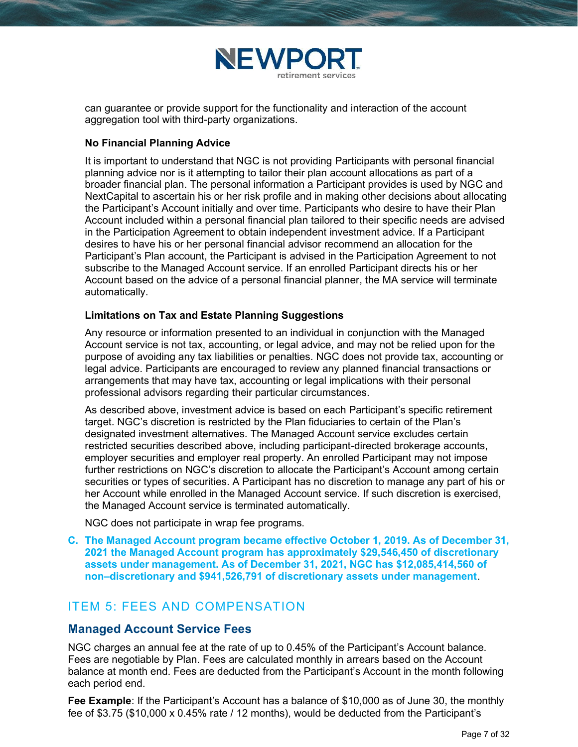

can guarantee or provide support for the functionality and interaction of the account aggregation tool with third-party organizations.

### No Financial Planning Advice

It is important to understand that NGC is not providing Participants with personal financial planning advice nor is it attempting to tailor their plan account allocations as part of a broader financial plan. The personal information a Participant provides is used by NGC and NextCapital to ascertain his or her risk profile and in making other decisions about allocating the Participant's Account initially and over time. Participants who desire to have their Plan Account included within a personal financial plan tailored to their specific needs are advised in the Participation Agreement to obtain independent investment advice. If a Participant desires to have his or her personal financial advisor recommend an allocation for the Participant's Plan account, the Participant is advised in the Participation Agreement to not subscribe to the Managed Account service. If an enrolled Participant directs his or her Account based on the advice of a personal financial planner, the MA service will terminate automatically.

### Limitations on Tax and Estate Planning Suggestions

Any resource or information presented to an individual in conjunction with the Managed Account service is not tax, accounting, or legal advice, and may not be relied upon for the purpose of avoiding any tax liabilities or penalties. NGC does not provide tax, accounting or legal advice. Participants are encouraged to review any planned financial transactions or arrangements that may have tax, accounting or legal implications with their personal professional advisors regarding their particular circumstances.

As described above, investment advice is based on each Participant's specific retirement target. NGC's discretion is restricted by the Plan fiduciaries to certain of the Plan's designated investment alternatives. The Managed Account service excludes certain restricted securities described above, including participant-directed brokerage accounts, employer securities and employer real property. An enrolled Participant may not impose further restrictions on NGC's discretion to allocate the Participant's Account among certain securities or types of securities. A Participant has no discretion to manage any part of his or her Account while enrolled in the Managed Account service. If such discretion is exercised, the Managed Account service is terminated automatically.

NGC does not participate in wrap fee programs.

C. The Managed Account program became effective October 1, 2019. As of December 31, 2021 the Managed Account program has approximately \$29,546,450 of discretionary assets under management. As of December 31, 2021, NGC has \$12,085,414,560 of non–discretionary and \$941,526,791 of discretionary assets under management.

## ITEM 5: FEES AND COMPENSATION

### Managed Account Service Fees

NGC charges an annual fee at the rate of up to 0.45% of the Participant's Account balance. Fees are negotiable by Plan. Fees are calculated monthly in arrears based on the Account balance at month end. Fees are deducted from the Participant's Account in the month following each period end.

Fee Example: If the Participant's Account has a balance of \$10,000 as of June 30, the monthly fee of \$3.75 (\$10,000 x 0.45% rate / 12 months), would be deducted from the Participant's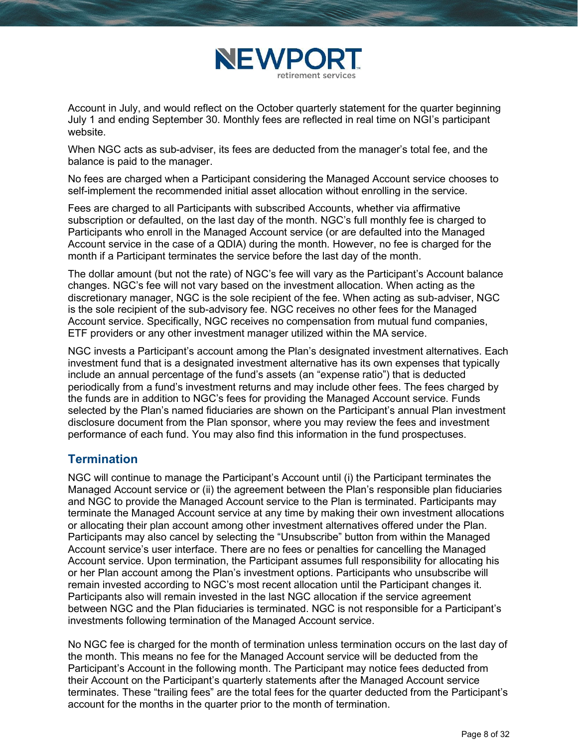

Account in July, and would reflect on the October quarterly statement for the quarter beginning July 1 and ending September 30. Monthly fees are reflected in real time on NGI's participant website.

When NGC acts as sub-adviser, its fees are deducted from the manager's total fee, and the balance is paid to the manager.

No fees are charged when a Participant considering the Managed Account service chooses to self-implement the recommended initial asset allocation without enrolling in the service.

Fees are charged to all Participants with subscribed Accounts, whether via affirmative subscription or defaulted, on the last day of the month. NGC's full monthly fee is charged to Participants who enroll in the Managed Account service (or are defaulted into the Managed Account service in the case of a QDIA) during the month. However, no fee is charged for the month if a Participant terminates the service before the last day of the month.

The dollar amount (but not the rate) of NGC's fee will vary as the Participant's Account balance changes. NGC's fee will not vary based on the investment allocation. When acting as the discretionary manager, NGC is the sole recipient of the fee. When acting as sub-adviser, NGC is the sole recipient of the sub-advisory fee. NGC receives no other fees for the Managed Account service. Specifically, NGC receives no compensation from mutual fund companies, ETF providers or any other investment manager utilized within the MA service.

NGC invests a Participant's account among the Plan's designated investment alternatives. Each investment fund that is a designated investment alternative has its own expenses that typically include an annual percentage of the fund's assets (an "expense ratio") that is deducted periodically from a fund's investment returns and may include other fees. The fees charged by the funds are in addition to NGC's fees for providing the Managed Account service. Funds selected by the Plan's named fiduciaries are shown on the Participant's annual Plan investment disclosure document from the Plan sponsor, where you may review the fees and investment performance of each fund. You may also find this information in the fund prospectuses.

## **Termination**

NGC will continue to manage the Participant's Account until (i) the Participant terminates the Managed Account service or (ii) the agreement between the Plan's responsible plan fiduciaries and NGC to provide the Managed Account service to the Plan is terminated. Participants may terminate the Managed Account service at any time by making their own investment allocations or allocating their plan account among other investment alternatives offered under the Plan. Participants may also cancel by selecting the "Unsubscribe" button from within the Managed Account service's user interface. There are no fees or penalties for cancelling the Managed Account service. Upon termination, the Participant assumes full responsibility for allocating his or her Plan account among the Plan's investment options. Participants who unsubscribe will remain invested according to NGC's most recent allocation until the Participant changes it. Participants also will remain invested in the last NGC allocation if the service agreement between NGC and the Plan fiduciaries is terminated. NGC is not responsible for a Participant's investments following termination of the Managed Account service.

No NGC fee is charged for the month of termination unless termination occurs on the last day of the month. This means no fee for the Managed Account service will be deducted from the Participant's Account in the following month. The Participant may notice fees deducted from their Account on the Participant's quarterly statements after the Managed Account service terminates. These "trailing fees" are the total fees for the quarter deducted from the Participant's account for the months in the quarter prior to the month of termination.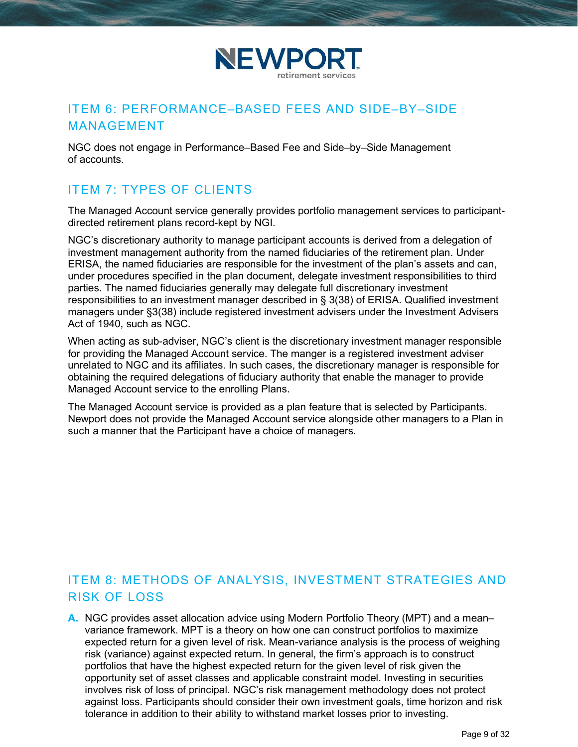

## ITEM 6: PERFORMANCE–BASED FEES AND SIDE–BY–SIDE MANAGEMENT

NGC does not engage in Performance–Based Fee and Side–by–Side Management of accounts.

# ITEM 7: TYPES OF CLIENTS

The Managed Account service generally provides portfolio management services to participantdirected retirement plans record-kept by NGI.

NGC's discretionary authority to manage participant accounts is derived from a delegation of investment management authority from the named fiduciaries of the retirement plan. Under ERISA, the named fiduciaries are responsible for the investment of the plan's assets and can, under procedures specified in the plan document, delegate investment responsibilities to third parties. The named fiduciaries generally may delegate full discretionary investment responsibilities to an investment manager described in § 3(38) of ERISA. Qualified investment managers under §3(38) include registered investment advisers under the Investment Advisers Act of 1940, such as NGC.

When acting as sub-adviser, NGC's client is the discretionary investment manager responsible for providing the Managed Account service. The manger is a registered investment adviser unrelated to NGC and its affiliates. In such cases, the discretionary manager is responsible for obtaining the required delegations of fiduciary authority that enable the manager to provide Managed Account service to the enrolling Plans.

The Managed Account service is provided as a plan feature that is selected by Participants. Newport does not provide the Managed Account service alongside other managers to a Plan in such a manner that the Participant have a choice of managers.

# ITEM 8: METHODS OF ANALYSIS, INVESTMENT STRATEGIES AND RISK OF LOSS

A. NGC provides asset allocation advice using Modern Portfolio Theory (MPT) and a mean– variance framework. MPT is a theory on how one can construct portfolios to maximize expected return for a given level of risk. Mean-variance analysis is the process of weighing risk (variance) against expected return. In general, the firm's approach is to construct portfolios that have the highest expected return for the given level of risk given the opportunity set of asset classes and applicable constraint model. Investing in securities involves risk of loss of principal. NGC's risk management methodology does not protect against loss. Participants should consider their own investment goals, time horizon and risk tolerance in addition to their ability to withstand market losses prior to investing.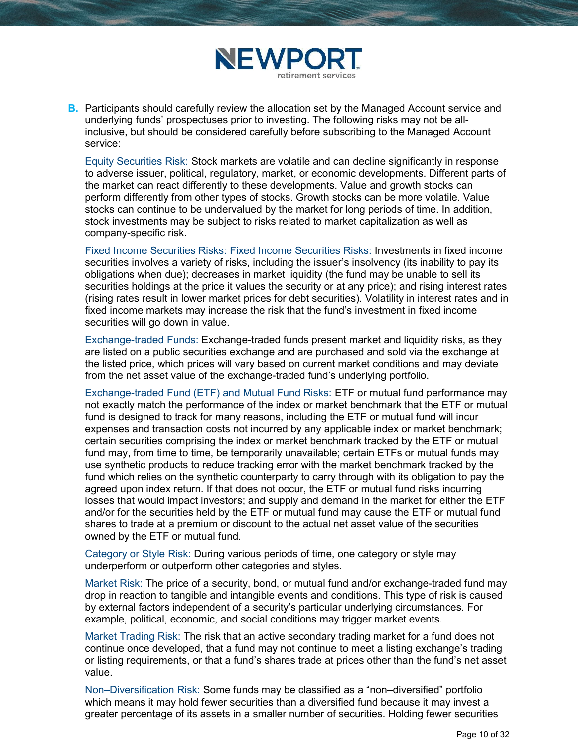

**B.** Participants should carefully review the allocation set by the Managed Account service and underlying funds' prospectuses prior to investing. The following risks may not be allinclusive, but should be considered carefully before subscribing to the Managed Account service:

Equity Securities Risk: Stock markets are volatile and can decline significantly in response to adverse issuer, political, regulatory, market, or economic developments. Different parts of the market can react differently to these developments. Value and growth stocks can perform differently from other types of stocks. Growth stocks can be more volatile. Value stocks can continue to be undervalued by the market for long periods of time. In addition, stock investments may be subject to risks related to market capitalization as well as company-specific risk.

Fixed Income Securities Risks: Fixed Income Securities Risks: Investments in fixed income securities involves a variety of risks, including the issuer's insolvency (its inability to pay its obligations when due); decreases in market liquidity (the fund may be unable to sell its securities holdings at the price it values the security or at any price); and rising interest rates (rising rates result in lower market prices for debt securities). Volatility in interest rates and in fixed income markets may increase the risk that the fund's investment in fixed income securities will go down in value.

Exchange-traded Funds: Exchange-traded funds present market and liquidity risks, as they are listed on a public securities exchange and are purchased and sold via the exchange at the listed price, which prices will vary based on current market conditions and may deviate from the net asset value of the exchange-traded fund's underlying portfolio.

Exchange-traded Fund (ETF) and Mutual Fund Risks: ETF or mutual fund performance may not exactly match the performance of the index or market benchmark that the ETF or mutual fund is designed to track for many reasons, including the ETF or mutual fund will incur expenses and transaction costs not incurred by any applicable index or market benchmark; certain securities comprising the index or market benchmark tracked by the ETF or mutual fund may, from time to time, be temporarily unavailable; certain ETFs or mutual funds may use synthetic products to reduce tracking error with the market benchmark tracked by the fund which relies on the synthetic counterparty to carry through with its obligation to pay the agreed upon index return. If that does not occur, the ETF or mutual fund risks incurring losses that would impact investors; and supply and demand in the market for either the ETF and/or for the securities held by the ETF or mutual fund may cause the ETF or mutual fund shares to trade at a premium or discount to the actual net asset value of the securities owned by the ETF or mutual fund.

Category or Style Risk: During various periods of time, one category or style may underperform or outperform other categories and styles.

Market Risk: The price of a security, bond, or mutual fund and/or exchange-traded fund may drop in reaction to tangible and intangible events and conditions. This type of risk is caused by external factors independent of a security's particular underlying circumstances. For example, political, economic, and social conditions may trigger market events.

Market Trading Risk: The risk that an active secondary trading market for a fund does not continue once developed, that a fund may not continue to meet a listing exchange's trading or listing requirements, or that a fund's shares trade at prices other than the fund's net asset value.

Non–Diversification Risk: Some funds may be classified as a "non–diversified" portfolio which means it may hold fewer securities than a diversified fund because it may invest a greater percentage of its assets in a smaller number of securities. Holding fewer securities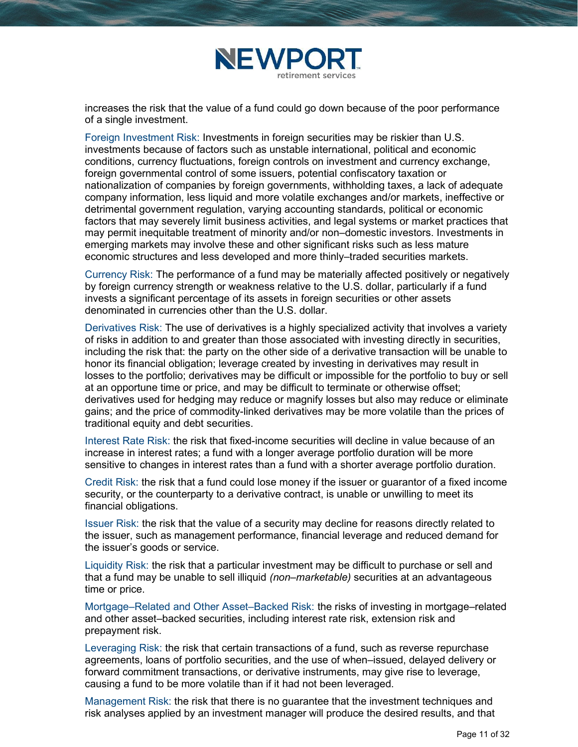

increases the risk that the value of a fund could go down because of the poor performance of a single investment.

Foreign Investment Risk: Investments in foreign securities may be riskier than U.S. investments because of factors such as unstable international, political and economic conditions, currency fluctuations, foreign controls on investment and currency exchange, foreign governmental control of some issuers, potential confiscatory taxation or nationalization of companies by foreign governments, withholding taxes, a lack of adequate company information, less liquid and more volatile exchanges and/or markets, ineffective or detrimental government regulation, varying accounting standards, political or economic factors that may severely limit business activities, and legal systems or market practices that may permit inequitable treatment of minority and/or non–domestic investors. Investments in emerging markets may involve these and other significant risks such as less mature economic structures and less developed and more thinly–traded securities markets.

Currency Risk: The performance of a fund may be materially affected positively or negatively by foreign currency strength or weakness relative to the U.S. dollar, particularly if a fund invests a significant percentage of its assets in foreign securities or other assets denominated in currencies other than the U.S. dollar.

Derivatives Risk: The use of derivatives is a highly specialized activity that involves a variety of risks in addition to and greater than those associated with investing directly in securities, including the risk that: the party on the other side of a derivative transaction will be unable to honor its financial obligation; leverage created by investing in derivatives may result in losses to the portfolio; derivatives may be difficult or impossible for the portfolio to buy or sell at an opportune time or price, and may be difficult to terminate or otherwise offset; derivatives used for hedging may reduce or magnify losses but also may reduce or eliminate gains; and the price of commodity-linked derivatives may be more volatile than the prices of traditional equity and debt securities.

Interest Rate Risk: the risk that fixed-income securities will decline in value because of an increase in interest rates; a fund with a longer average portfolio duration will be more sensitive to changes in interest rates than a fund with a shorter average portfolio duration.

Credit Risk: the risk that a fund could lose money if the issuer or guarantor of a fixed income security, or the counterparty to a derivative contract, is unable or unwilling to meet its financial obligations.

Issuer Risk: the risk that the value of a security may decline for reasons directly related to the issuer, such as management performance, financial leverage and reduced demand for the issuer's goods or service.

Liquidity Risk: the risk that a particular investment may be difficult to purchase or sell and that a fund may be unable to sell illiquid *(non–marketable)* securities at an advantageous time or price.

Mortgage–Related and Other Asset–Backed Risk: the risks of investing in mortgage–related and other asset–backed securities, including interest rate risk, extension risk and prepayment risk.

Leveraging Risk: the risk that certain transactions of a fund, such as reverse repurchase agreements, loans of portfolio securities, and the use of when–issued, delayed delivery or forward commitment transactions, or derivative instruments, may give rise to leverage, causing a fund to be more volatile than if it had not been leveraged.

Management Risk: the risk that there is no guarantee that the investment techniques and risk analyses applied by an investment manager will produce the desired results, and that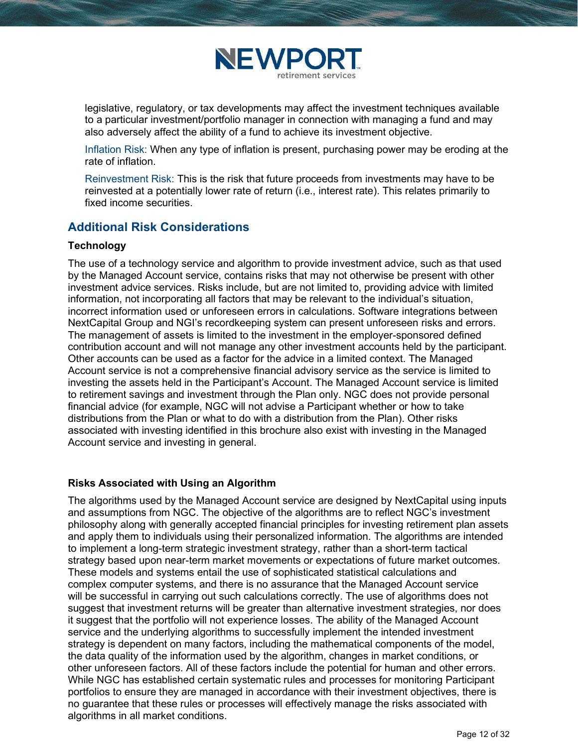

legislative, regulatory, or tax developments may affect the investment techniques available to a particular investment/portfolio manager in connection with managing a fund and may also adversely affect the ability of a fund to achieve its investment objective.

Inflation Risk: When any type of inflation is present, purchasing power may be eroding at the rate of inflation.

Reinvestment Risk: This is the risk that future proceeds from investments may have to be reinvested at a potentially lower rate of return (i.e., interest rate). This relates primarily to fixed income securities.

## Additional Risk Considerations

### **Technology**

The use of a technology service and algorithm to provide investment advice, such as that used by the Managed Account service, contains risks that may not otherwise be present with other investment advice services. Risks include, but are not limited to, providing advice with limited information, not incorporating all factors that may be relevant to the individual's situation, incorrect information used or unforeseen errors in calculations. Software integrations between NextCapital Group and NGI's recordkeeping system can present unforeseen risks and errors. The management of assets is limited to the investment in the employer-sponsored defined contribution account and will not manage any other investment accounts held by the participant. Other accounts can be used as a factor for the advice in a limited context. The Managed Account service is not a comprehensive financial advisory service as the service is limited to investing the assets held in the Participant's Account. The Managed Account service is limited to retirement savings and investment through the Plan only. NGC does not provide personal financial advice (for example, NGC will not advise a Participant whether or how to take distributions from the Plan or what to do with a distribution from the Plan). Other risks associated with investing identified in this brochure also exist with investing in the Managed Account service and investing in general.

### Risks Associated with Using an Algorithm

The algorithms used by the Managed Account service are designed by NextCapital using inputs and assumptions from NGC. The objective of the algorithms are to reflect NGC's investment philosophy along with generally accepted financial principles for investing retirement plan assets and apply them to individuals using their personalized information. The algorithms are intended to implement a long-term strategic investment strategy, rather than a short-term tactical strategy based upon near-term market movements or expectations of future market outcomes. These models and systems entail the use of sophisticated statistical calculations and complex computer systems, and there is no assurance that the Managed Account service will be successful in carrying out such calculations correctly. The use of algorithms does not suggest that investment returns will be greater than alternative investment strategies, nor does it suggest that the portfolio will not experience losses. The ability of the Managed Account service and the underlying algorithms to successfully implement the intended investment strategy is dependent on many factors, including the mathematical components of the model, the data quality of the information used by the algorithm, changes in market conditions, or other unforeseen factors. All of these factors include the potential for human and other errors. While NGC has established certain systematic rules and processes for monitoring Participant portfolios to ensure they are managed in accordance with their investment objectives, there is no guarantee that these rules or processes will effectively manage the risks associated with algorithms in all market conditions.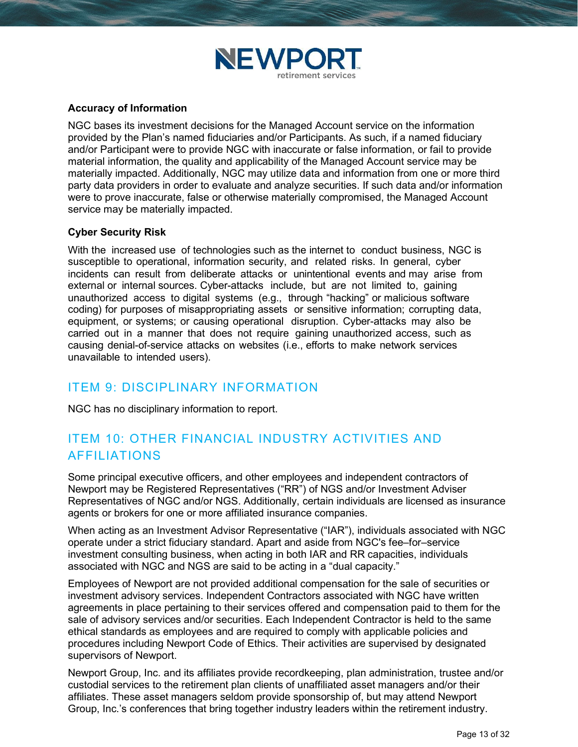

### Accuracy of Information

NGC bases its investment decisions for the Managed Account service on the information provided by the Plan's named fiduciaries and/or Participants. As such, if a named fiduciary and/or Participant were to provide NGC with inaccurate or false information, or fail to provide material information, the quality and applicability of the Managed Account service may be materially impacted. Additionally, NGC may utilize data and information from one or more third party data providers in order to evaluate and analyze securities. If such data and/or information were to prove inaccurate, false or otherwise materially compromised, the Managed Account service may be materially impacted.

### Cyber Security Risk

With the increased use of technologies such as the internet to conduct business, NGC is susceptible to operational, information security, and related risks. In general, cyber incidents can result from deliberate attacks or unintentional events and may arise from external or internal sources. Cyber-attacks include, but are not limited to, gaining unauthorized access to digital systems (e.g., through "hacking" or malicious software coding) for purposes of misappropriating assets or sensitive information; corrupting data, equipment, or systems; or causing operational disruption. Cyber-attacks may also be carried out in a manner that does not require gaining unauthorized access, such as causing denial-of-service attacks on websites (i.e., efforts to make network services unavailable to intended users).

## ITEM 9: DISCIPLINARY INFORMATION

NGC has no disciplinary information to report.

## ITEM 10: OTHER FINANCIAL INDUSTRY ACTIVITIES AND AFFILIATIONS

Some principal executive officers, and other employees and independent contractors of Newport may be Registered Representatives ("RR") of NGS and/or Investment Adviser Representatives of NGC and/or NGS. Additionally, certain individuals are licensed as insurance agents or brokers for one or more affiliated insurance companies.

When acting as an Investment Advisor Representative ("IAR"), individuals associated with NGC operate under a strict fiduciary standard. Apart and aside from NGC's fee–for–service investment consulting business, when acting in both IAR and RR capacities, individuals associated with NGC and NGS are said to be acting in a "dual capacity."

Employees of Newport are not provided additional compensation for the sale of securities or investment advisory services. Independent Contractors associated with NGC have written agreements in place pertaining to their services offered and compensation paid to them for the sale of advisory services and/or securities. Each Independent Contractor is held to the same ethical standards as employees and are required to comply with applicable policies and procedures including Newport Code of Ethics. Their activities are supervised by designated supervisors of Newport.

Newport Group, Inc. and its affiliates provide recordkeeping, plan administration, trustee and/or custodial services to the retirement plan clients of unaffiliated asset managers and/or their affiliates. These asset managers seldom provide sponsorship of, but may attend Newport Group, Inc.'s conferences that bring together industry leaders within the retirement industry.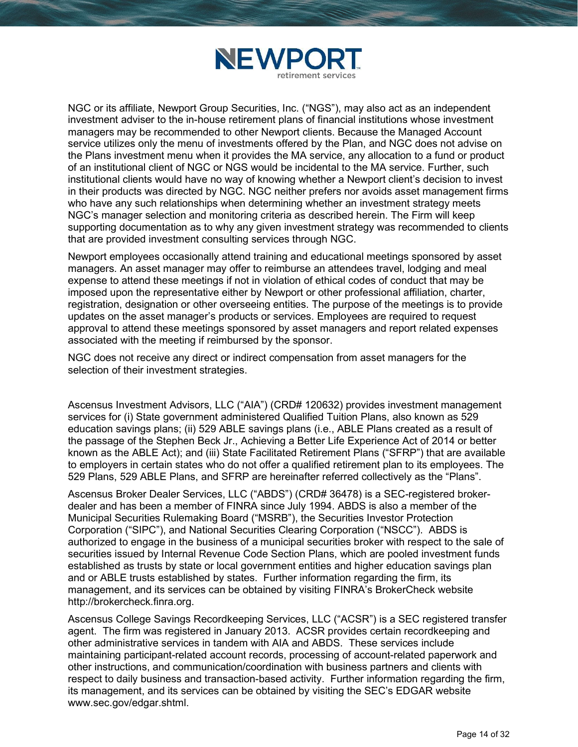

NGC or its affiliate, Newport Group Securities, Inc. ("NGS"), may also act as an independent investment adviser to the in-house retirement plans of financial institutions whose investment managers may be recommended to other Newport clients. Because the Managed Account service utilizes only the menu of investments offered by the Plan, and NGC does not advise on the Plans investment menu when it provides the MA service, any allocation to a fund or product of an institutional client of NGC or NGS would be incidental to the MA service. Further, such institutional clients would have no way of knowing whether a Newport client's decision to invest in their products was directed by NGC. NGC neither prefers nor avoids asset management firms who have any such relationships when determining whether an investment strategy meets NGC's manager selection and monitoring criteria as described herein. The Firm will keep supporting documentation as to why any given investment strategy was recommended to clients that are provided investment consulting services through NGC.

Newport employees occasionally attend training and educational meetings sponsored by asset managers. An asset manager may offer to reimburse an attendees travel, lodging and meal expense to attend these meetings if not in violation of ethical codes of conduct that may be imposed upon the representative either by Newport or other professional affiliation, charter, registration, designation or other overseeing entities. The purpose of the meetings is to provide updates on the asset manager's products or services. Employees are required to request approval to attend these meetings sponsored by asset managers and report related expenses associated with the meeting if reimbursed by the sponsor.

NGC does not receive any direct or indirect compensation from asset managers for the selection of their investment strategies.

Ascensus Investment Advisors, LLC ("AIA") (CRD# 120632) provides investment management services for (i) State government administered Qualified Tuition Plans, also known as 529 education savings plans; (ii) 529 ABLE savings plans (i.e., ABLE Plans created as a result of the passage of the Stephen Beck Jr., Achieving a Better Life Experience Act of 2014 or better known as the ABLE Act); and (iii) State Facilitated Retirement Plans ("SFRP") that are available to employers in certain states who do not offer a qualified retirement plan to its employees. The 529 Plans, 529 ABLE Plans, and SFRP are hereinafter referred collectively as the "Plans".

Ascensus Broker Dealer Services, LLC ("ABDS") (CRD# 36478) is a SEC-registered brokerdealer and has been a member of FINRA since July 1994. ABDS is also a member of the Municipal Securities Rulemaking Board ("MSRB"), the Securities Investor Protection Corporation ("SIPC"), and National Securities Clearing Corporation ("NSCC"). ABDS is authorized to engage in the business of a municipal securities broker with respect to the sale of securities issued by Internal Revenue Code Section Plans, which are pooled investment funds established as trusts by state or local government entities and higher education savings plan and or ABLE trusts established by states. Further information regarding the firm, its management, and its services can be obtained by visiting FINRA's BrokerCheck website http://brokercheck.finra.org.

Ascensus College Savings Recordkeeping Services, LLC ("ACSR") is a SEC registered transfer agent. The firm was registered in January 2013. ACSR provides certain recordkeeping and other administrative services in tandem with AIA and ABDS. These services include maintaining participant-related account records, processing of account-related paperwork and other instructions, and communication/coordination with business partners and clients with respect to daily business and transaction-based activity. Further information regarding the firm, its management, and its services can be obtained by visiting the SEC's EDGAR website www.sec.gov/edgar.shtml.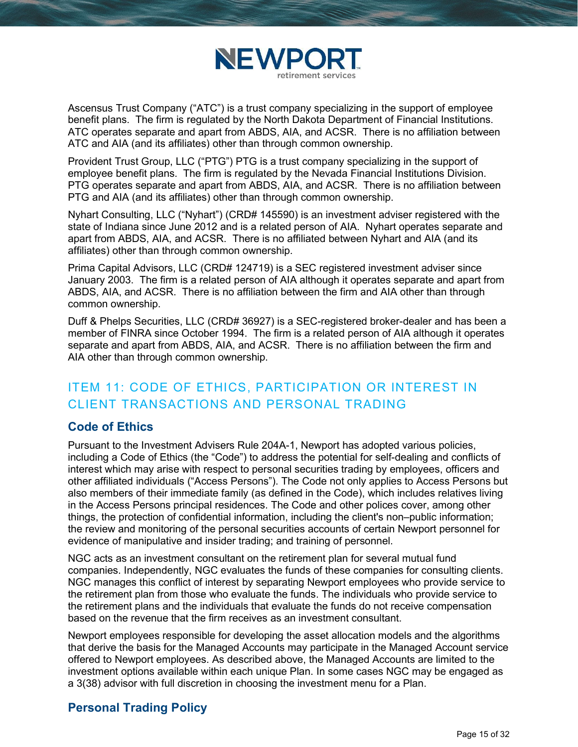

Ascensus Trust Company ("ATC") is a trust company specializing in the support of employee benefit plans. The firm is regulated by the North Dakota Department of Financial Institutions. ATC operates separate and apart from ABDS, AIA, and ACSR. There is no affiliation between ATC and AIA (and its affiliates) other than through common ownership.

Provident Trust Group, LLC ("PTG") PTG is a trust company specializing in the support of employee benefit plans. The firm is regulated by the Nevada Financial Institutions Division. PTG operates separate and apart from ABDS, AIA, and ACSR. There is no affiliation between PTG and AIA (and its affiliates) other than through common ownership.

Nyhart Consulting, LLC ("Nyhart") (CRD# 145590) is an investment adviser registered with the state of Indiana since June 2012 and is a related person of AIA. Nyhart operates separate and apart from ABDS, AIA, and ACSR. There is no affiliated between Nyhart and AIA (and its affiliates) other than through common ownership.

Prima Capital Advisors, LLC (CRD# 124719) is a SEC registered investment adviser since January 2003. The firm is a related person of AIA although it operates separate and apart from ABDS, AIA, and ACSR. There is no affiliation between the firm and AIA other than through common ownership.

Duff & Phelps Securities, LLC (CRD# 36927) is a SEC-registered broker-dealer and has been a member of FINRA since October 1994. The firm is a related person of AIA although it operates separate and apart from ABDS, AIA, and ACSR. There is no affiliation between the firm and AIA other than through common ownership.

# ITEM 11: CODE OF ETHICS, PARTICIPATION OR INTEREST IN CLIENT TRANSACTIONS AND PERSONAL TRADING

## Code of Ethics

Pursuant to the Investment Advisers Rule 204A-1, Newport has adopted various policies, including a Code of Ethics (the "Code") to address the potential for self-dealing and conflicts of interest which may arise with respect to personal securities trading by employees, officers and other affiliated individuals ("Access Persons"). The Code not only applies to Access Persons but also members of their immediate family (as defined in the Code), which includes relatives living in the Access Persons principal residences. The Code and other polices cover, among other things, the protection of confidential information, including the client's non–public information; the review and monitoring of the personal securities accounts of certain Newport personnel for evidence of manipulative and insider trading; and training of personnel.

NGC acts as an investment consultant on the retirement plan for several mutual fund companies. Independently, NGC evaluates the funds of these companies for consulting clients. NGC manages this conflict of interest by separating Newport employees who provide service to the retirement plan from those who evaluate the funds. The individuals who provide service to the retirement plans and the individuals that evaluate the funds do not receive compensation based on the revenue that the firm receives as an investment consultant.

Newport employees responsible for developing the asset allocation models and the algorithms that derive the basis for the Managed Accounts may participate in the Managed Account service offered to Newport employees. As described above, the Managed Accounts are limited to the investment options available within each unique Plan. In some cases NGC may be engaged as a 3(38) advisor with full discretion in choosing the investment menu for a Plan.

## Personal Trading Policy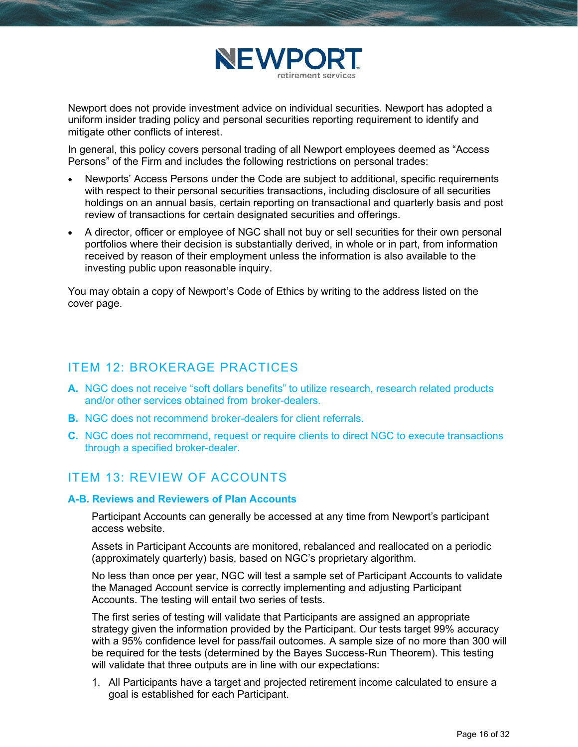

Newport does not provide investment advice on individual securities. Newport has adopted a uniform insider trading policy and personal securities reporting requirement to identify and mitigate other conflicts of interest.

In general, this policy covers personal trading of all Newport employees deemed as "Access Persons" of the Firm and includes the following restrictions on personal trades:

- Newports' Access Persons under the Code are subject to additional, specific requirements with respect to their personal securities transactions, including disclosure of all securities holdings on an annual basis, certain reporting on transactional and quarterly basis and post review of transactions for certain designated securities and offerings.
- A director, officer or employee of NGC shall not buy or sell securities for their own personal portfolios where their decision is substantially derived, in whole or in part, from information received by reason of their employment unless the information is also available to the investing public upon reasonable inquiry.

You may obtain a copy of Newport's Code of Ethics by writing to the address listed on the cover page.

## ITEM 12: BROKERAGE PRACTICES

- A. NGC does not receive "soft dollars benefits" to utilize research, research related products and/or other services obtained from broker-dealers.
- **B.** NGC does not recommend broker-dealers for client referrals.
- C. NGC does not recommend, request or require clients to direct NGC to execute transactions through a specified broker-dealer.

## ITEM 13: REVIEW OF ACCOUNTS

#### A-B. Reviews and Reviewers of Plan Accounts

Participant Accounts can generally be accessed at any time from Newport's participant access website.

Assets in Participant Accounts are monitored, rebalanced and reallocated on a periodic (approximately quarterly) basis, based on NGC's proprietary algorithm.

No less than once per year, NGC will test a sample set of Participant Accounts to validate the Managed Account service is correctly implementing and adjusting Participant Accounts. The testing will entail two series of tests.

The first series of testing will validate that Participants are assigned an appropriate strategy given the information provided by the Participant. Our tests target 99% accuracy with a 95% confidence level for pass/fail outcomes. A sample size of no more than 300 will be required for the tests (determined by the Bayes Success-Run Theorem). This testing will validate that three outputs are in line with our expectations:

1. All Participants have a target and projected retirement income calculated to ensure a goal is established for each Participant.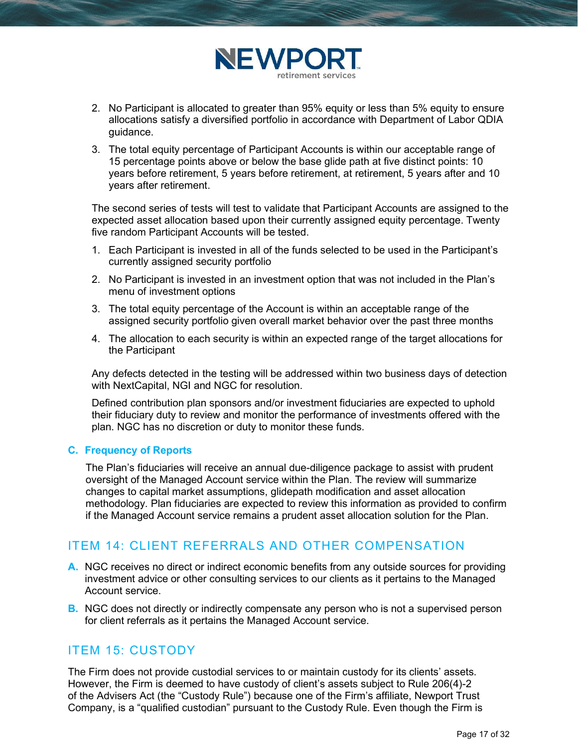

- 2. No Participant is allocated to greater than 95% equity or less than 5% equity to ensure allocations satisfy a diversified portfolio in accordance with Department of Labor QDIA guidance.
- 3. The total equity percentage of Participant Accounts is within our acceptable range of 15 percentage points above or below the base glide path at five distinct points: 10 years before retirement, 5 years before retirement, at retirement, 5 years after and 10 years after retirement.

The second series of tests will test to validate that Participant Accounts are assigned to the expected asset allocation based upon their currently assigned equity percentage. Twenty five random Participant Accounts will be tested.

- 1. Each Participant is invested in all of the funds selected to be used in the Participant's currently assigned security portfolio
- 2. No Participant is invested in an investment option that was not included in the Plan's menu of investment options
- 3. The total equity percentage of the Account is within an acceptable range of the assigned security portfolio given overall market behavior over the past three months
- 4. The allocation to each security is within an expected range of the target allocations for the Participant

Any defects detected in the testing will be addressed within two business days of detection with NextCapital, NGI and NGC for resolution.

Defined contribution plan sponsors and/or investment fiduciaries are expected to uphold their fiduciary duty to review and monitor the performance of investments offered with the plan. NGC has no discretion or duty to monitor these funds.

#### C. Frequency of Reports

The Plan's fiduciaries will receive an annual due-diligence package to assist with prudent oversight of the Managed Account service within the Plan. The review will summarize changes to capital market assumptions, glidepath modification and asset allocation methodology. Plan fiduciaries are expected to review this information as provided to confirm if the Managed Account service remains a prudent asset allocation solution for the Plan.

## ITEM 14: CLIENT REFERRALS AND OTHER COMPENSATION

- A. NGC receives no direct or indirect economic benefits from any outside sources for providing investment advice or other consulting services to our clients as it pertains to the Managed Account service.
- **B.** NGC does not directly or indirectly compensate any person who is not a supervised person for client referrals as it pertains the Managed Account service.

## ITEM 15: CUSTODY

The Firm does not provide custodial services to or maintain custody for its clients' assets. However, the Firm is deemed to have custody of client's assets subject to Rule 206(4)-2 of the Advisers Act (the "Custody Rule") because one of the Firm's affiliate, Newport Trust Company, is a "qualified custodian" pursuant to the Custody Rule. Even though the Firm is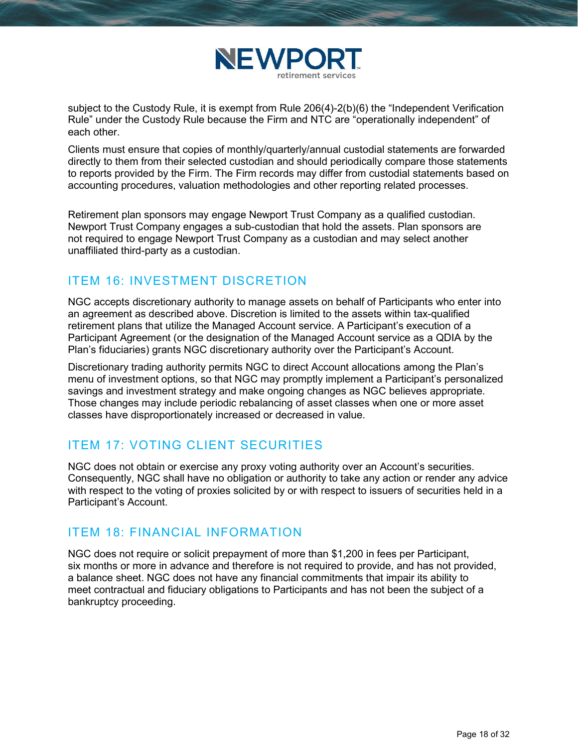

subject to the Custody Rule, it is exempt from Rule 206(4)-2(b)(6) the "Independent Verification Rule" under the Custody Rule because the Firm and NTC are "operationally independent" of each other.

Clients must ensure that copies of monthly/quarterly/annual custodial statements are forwarded directly to them from their selected custodian and should periodically compare those statements to reports provided by the Firm. The Firm records may differ from custodial statements based on accounting procedures, valuation methodologies and other reporting related processes.

Retirement plan sponsors may engage Newport Trust Company as a qualified custodian. Newport Trust Company engages a sub-custodian that hold the assets. Plan sponsors are not required to engage Newport Trust Company as a custodian and may select another unaffiliated third-party as a custodian.

## ITEM 16: INVESTMENT DISCRETION

NGC accepts discretionary authority to manage assets on behalf of Participants who enter into an agreement as described above. Discretion is limited to the assets within tax-qualified retirement plans that utilize the Managed Account service. A Participant's execution of a Participant Agreement (or the designation of the Managed Account service as a QDIA by the Plan's fiduciaries) grants NGC discretionary authority over the Participant's Account.

Discretionary trading authority permits NGC to direct Account allocations among the Plan's menu of investment options, so that NGC may promptly implement a Participant's personalized savings and investment strategy and make ongoing changes as NGC believes appropriate. Those changes may include periodic rebalancing of asset classes when one or more asset classes have disproportionately increased or decreased in value.

## ITEM 17: VOTING CLIENT SECURITIES

NGC does not obtain or exercise any proxy voting authority over an Account's securities. Consequently, NGC shall have no obligation or authority to take any action or render any advice with respect to the voting of proxies solicited by or with respect to issuers of securities held in a Participant's Account.

## ITEM 18: FINANCIAL INFORMATION

 NGC does not require or solicit prepayment of more than \$1,200 in fees per Participant, six months or more in advance and therefore is not required to provide, and has not provided, a balance sheet. NGC does not have any financial commitments that impair its ability to meet contractual and fiduciary obligations to Participants and has not been the subject of a bankruptcy proceeding.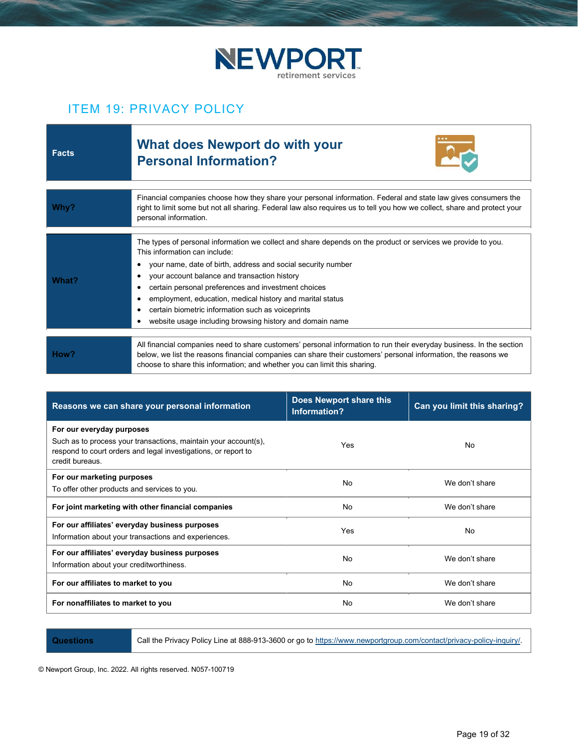

## ITEM 19: PRIVACY POLICY

| <b>Facts</b> | <b>What does Newport do with your</b><br><b>Personal Information?</b>                                                                                                                                                                                                                                                                                                                                                                                                                                                  |
|--------------|------------------------------------------------------------------------------------------------------------------------------------------------------------------------------------------------------------------------------------------------------------------------------------------------------------------------------------------------------------------------------------------------------------------------------------------------------------------------------------------------------------------------|
| Why?         | Financial companies choose how they share your personal information. Federal and state law gives consumers the<br>right to limit some but not all sharing. Federal law also requires us to tell you how we collect, share and protect your<br>personal information.                                                                                                                                                                                                                                                    |
| What?        | The types of personal information we collect and share depends on the product or services we provide to you.<br>This information can include:<br>your name, date of birth, address and social security number<br>٠<br>your account balance and transaction history<br>٠<br>certain personal preferences and investment choices<br>٠<br>employment, education, medical history and marital status<br>٠<br>certain biometric information such as voiceprints<br>website usage including browsing history and domain name |
| How?         | All financial companies need to share customers' personal information to run their everyday business. In the section<br>below, we list the reasons financial companies can share their customers' personal information, the reasons we<br>choose to share this information; and whether you can limit this sharing.                                                                                                                                                                                                    |

| Reasons we can share your personal information                                                                                                                                    | Does Newport share this<br>Information? | Can you limit this sharing? |
|-----------------------------------------------------------------------------------------------------------------------------------------------------------------------------------|-----------------------------------------|-----------------------------|
| For our everyday purposes<br>Such as to process your transactions, maintain your account(s),<br>respond to court orders and legal investigations, or report to<br>credit bureaus. | Yes                                     | No                          |
| For our marketing purposes<br>To offer other products and services to you.                                                                                                        | No                                      | We don't share              |
| For joint marketing with other financial companies                                                                                                                                | No                                      | We don't share              |
| For our affiliates' everyday business purposes<br>Information about your transactions and experiences.                                                                            | Yes                                     | No                          |
| For our affiliates' everyday business purposes<br>Information about your creditworthiness.                                                                                        | No                                      | We don't share              |
| For our affiliates to market to you                                                                                                                                               | No                                      | We don't share              |
| For nonaffiliates to market to you                                                                                                                                                | No                                      | We don't share              |

Questions Call the Privacy Policy Line at 888-913-3600 or go to https://www.newportgroup.com/contact/privacy-policy-inquiry/.

© Newport Group, Inc. 2022. All rights reserved. N057-100719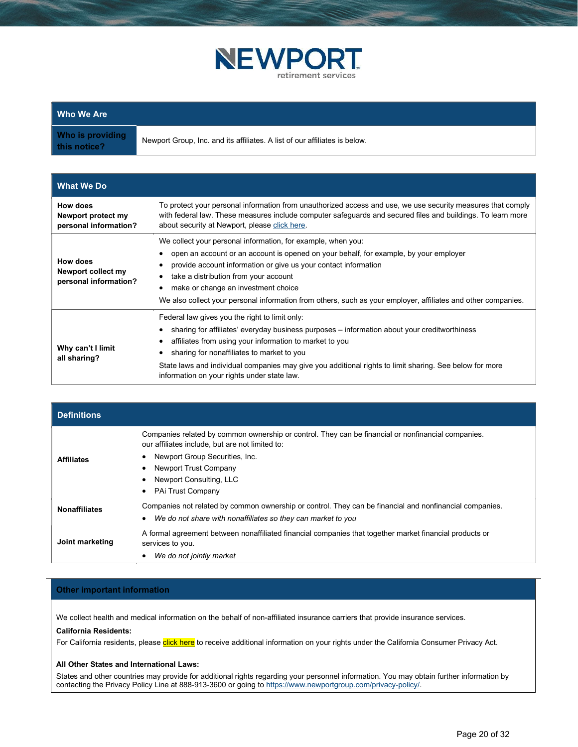

| <b>Who We Are</b> |
|-------------------|
|-------------------|

Who is providing this notice?

Newport Group, Inc. and its affiliates. A list of our affiliates is below.

| <b>What We Do</b>                                       |                                                                                                                                                                                                                                                                                                                                                                                                                           |
|---------------------------------------------------------|---------------------------------------------------------------------------------------------------------------------------------------------------------------------------------------------------------------------------------------------------------------------------------------------------------------------------------------------------------------------------------------------------------------------------|
| How does<br>Newport protect my<br>personal information? | To protect your personal information from unauthorized access and use, we use security measures that comply<br>with federal law. These measures include computer safeguards and secured files and buildings. To learn more<br>about security at Newport, please click here.                                                                                                                                               |
| How does<br>Newport collect my<br>personal information? | We collect your personal information, for example, when you:<br>open an account or an account is opened on your behalf, for example, by your employer<br>provide account information or give us your contact information<br>take a distribution from your account<br>make or change an investment choice<br>We also collect your personal information from others, such as your employer, affiliates and other companies. |
| Why can't I limit<br>all sharing?                       | Federal law gives you the right to limit only:<br>sharing for affiliates' everyday business purposes – information about your creditworthiness<br>affiliates from using your information to market to you<br>sharing for nonaffiliates to market to you<br>State laws and individual companies may give you additional rights to limit sharing. See below for more<br>information on your rights under state law.         |

| <b>Definitions</b>   |                                                                                                                                                       |
|----------------------|-------------------------------------------------------------------------------------------------------------------------------------------------------|
|                      | Companies related by common ownership or control. They can be financial or nonfinancial companies.<br>our affiliates include, but are not limited to: |
| <b>Affiliates</b>    | Newport Group Securities, Inc.                                                                                                                        |
|                      | Newport Trust Company                                                                                                                                 |
|                      | Newport Consulting, LLC                                                                                                                               |
|                      | PAi Trust Company                                                                                                                                     |
| <b>Nonaffiliates</b> | Companies not related by common ownership or control. They can be financial and nonfinancial companies.                                               |
|                      | We do not share with nonaffiliates so they can market to you                                                                                          |
| Joint marketing      | A formal agreement between nonaffiliated financial companies that together market financial products or<br>services to you.                           |
|                      | We do not jointly market                                                                                                                              |

#### Other important information

We collect health and medical information on the behalf of non-affiliated insurance carriers that provide insurance services.

#### California Residents:

For California residents, please click here to receive additional information on your rights under the California Consumer Privacy Act.

#### All Other States and International Laws:

States and other countries may provide for additional rights regarding your personnel information. You may obtain further information by contacting the Privacy Policy Line at 888-913-3600 or going to https://www.newportgroup.com/privacy-policy/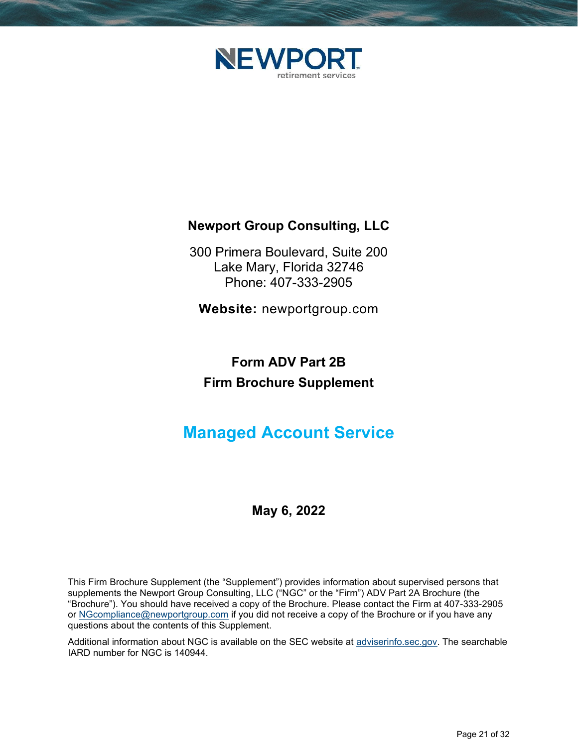

# Newport Group Consulting, LLC

300 Primera Boulevard, Suite 200 Lake Mary, Florida 32746 Phone: 407-333-2905

Website: newportgroup.com

# Form ADV Part 2B Firm Brochure Supplement

# Managed Account Service

# May 6, 2022

This Firm Brochure Supplement (the "Supplement") provides information about supervised persons that supplements the Newport Group Consulting, LLC ("NGC" or the "Firm") ADV Part 2A Brochure (the "Brochure"). You should have received a copy of the Brochure. Please contact the Firm at 407-333-2905 or NGcompliance@newportgroup.com if you did not receive a copy of the Brochure or if you have any questions about the contents of this Supplement.

Additional information about NGC is available on the SEC website at adviserinfo.sec.gov. The searchable IARD number for NGC is 140944.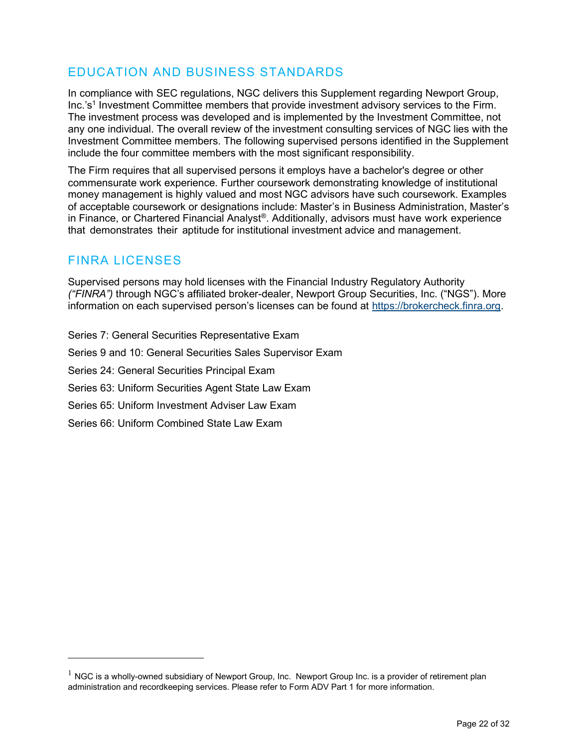# EDUCATION AND BUSINESS STANDARDS

In compliance with SEC regulations, NGC delivers this Supplement regarding Newport Group, Inc.'s<sup>1</sup> Investment Committee members that provide investment advisory services to the Firm. The investment process was developed and is implemented by the Investment Committee, not any one individual. The overall review of the investment consulting services of NGC lies with the Investment Committee members. The following supervised persons identified in the Supplement include the four committee members with the most significant responsibility.

The Firm requires that all supervised persons it employs have a bachelor's degree or other commensurate work experience. Further coursework demonstrating knowledge of institutional money management is highly valued and most NGC advisors have such coursework. Examples of acceptable coursework or designations include: Master's in Business Administration, Master's in Finance, or Chartered Financial Analyst®. Additionally, advisors must have work experience that demonstrates their aptitude for institutional investment advice and management.

## FINRA LICENSES

Supervised persons may hold licenses with the Financial Industry Regulatory Authority ("FINRA") through NGC's affiliated broker-dealer, Newport Group Securities, Inc. ("NGS"). More information on each supervised person's licenses can be found at https://brokercheck.finra.org.

Series 7: General Securities Representative Exam Series 9 and 10: General Securities Sales Supervisor Exam Series 24: General Securities Principal Exam Series 63: Uniform Securities Agent State Law Exam Series 65: Uniform Investment Adviser Law Exam Series 66: Uniform Combined State Law Exam

 $1$  NGC is a wholly-owned subsidiary of Newport Group, Inc. Newport Group Inc. is a provider of retirement plan administration and recordkeeping services. Please refer to Form ADV Part 1 for more information.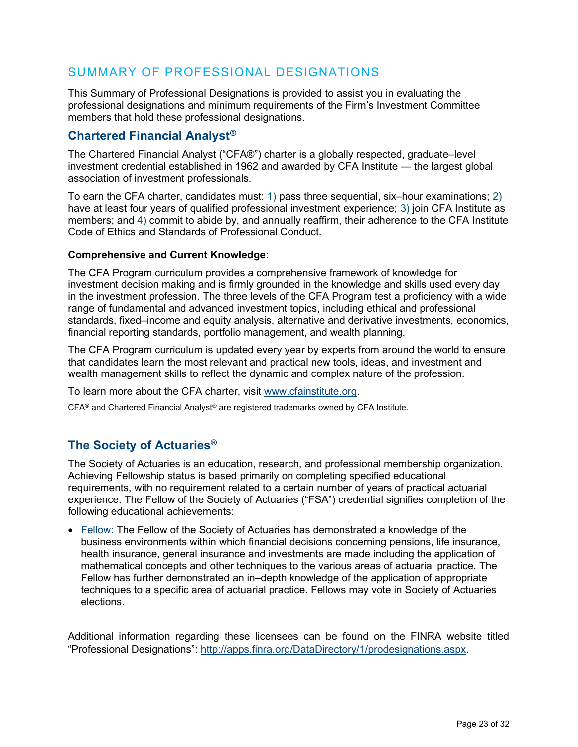## SUMMARY OF PROFESSIONAL DESIGNATIONS

This Summary of Professional Designations is provided to assist you in evaluating the professional designations and minimum requirements of the Firm's Investment Committee members that hold these professional designations.

## Chartered Financial Analyst®

The Chartered Financial Analyst ("CFA®") charter is a globally respected, graduate–level investment credential established in 1962 and awarded by CFA Institute — the largest global association of investment professionals.

To earn the CFA charter, candidates must: 1) pass three sequential, six–hour examinations; 2) have at least four years of qualified professional investment experience; 3) join CFA Institute as members; and 4) commit to abide by, and annually reaffirm, their adherence to the CFA Institute Code of Ethics and Standards of Professional Conduct.

### Comprehensive and Current Knowledge:

The CFA Program curriculum provides a comprehensive framework of knowledge for investment decision making and is firmly grounded in the knowledge and skills used every day in the investment profession. The three levels of the CFA Program test a proficiency with a wide range of fundamental and advanced investment topics, including ethical and professional standards, fixed–income and equity analysis, alternative and derivative investments, economics, financial reporting standards, portfolio management, and wealth planning.

The CFA Program curriculum is updated every year by experts from around the world to ensure that candidates learn the most relevant and practical new tools, ideas, and investment and wealth management skills to reflect the dynamic and complex nature of the profession.

To learn more about the CFA charter, visit www.cfainstitute.org.

 $CFA<sup>®</sup>$  and Chartered Financial Analyst<sup>®</sup> are registered trademarks owned by CFA Institute.

## The Society of Actuaries®

The Society of Actuaries is an education, research, and professional membership organization. Achieving Fellowship status is based primarily on completing specified educational requirements, with no requirement related to a certain number of years of practical actuarial experience. The Fellow of the Society of Actuaries ("FSA") credential signifies completion of the following educational achievements:

 Fellow: The Fellow of the Society of Actuaries has demonstrated a knowledge of the business environments within which financial decisions concerning pensions, life insurance, health insurance, general insurance and investments are made including the application of mathematical concepts and other techniques to the various areas of actuarial practice. The Fellow has further demonstrated an in–depth knowledge of the application of appropriate techniques to a specific area of actuarial practice. Fellows may vote in Society of Actuaries elections.

Additional information regarding these licensees can be found on the FINRA website titled "Professional Designations": http://apps.finra.org/DataDirectory/1/prodesignations.aspx.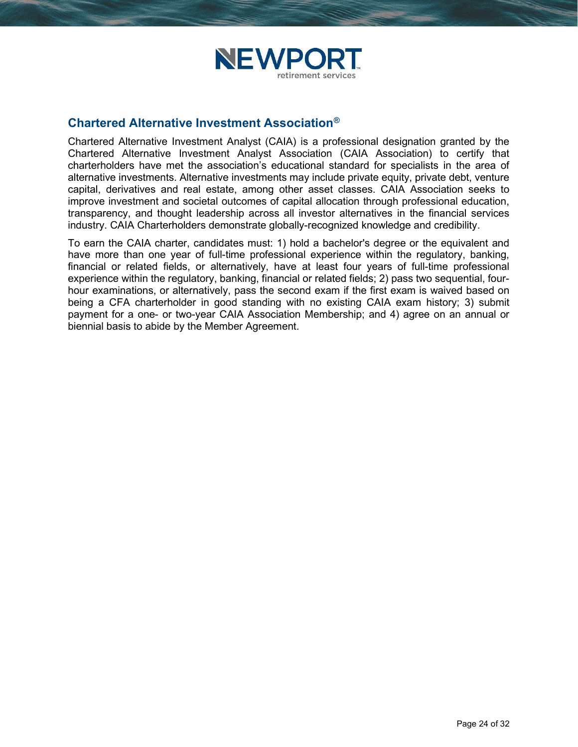

### Chartered Alternative Investment Association®

Chartered Alternative Investment Analyst (CAIA) is a professional designation granted by the Chartered Alternative Investment Analyst Association (CAIA Association) to certify that charterholders have met the association's educational standard for specialists in the area of alternative investments. Alternative investments may include private equity, private debt, venture capital, derivatives and real estate, among other asset classes. CAIA Association seeks to improve investment and societal outcomes of capital allocation through professional education, transparency, and thought leadership across all investor alternatives in the financial services industry. CAIA Charterholders demonstrate globally-recognized knowledge and credibility.

To earn the CAIA charter, candidates must: 1) hold a bachelor's degree or the equivalent and have more than one year of full-time professional experience within the regulatory, banking, financial or related fields, or alternatively, have at least four years of full-time professional experience within the regulatory, banking, financial or related fields; 2) pass two sequential, fourhour examinations, or alternatively, pass the second exam if the first exam is waived based on being a CFA charterholder in good standing with no existing CAIA exam history; 3) submit payment for a one- or two-year CAIA Association Membership; and 4) agree on an annual or biennial basis to abide by the Member Agreement.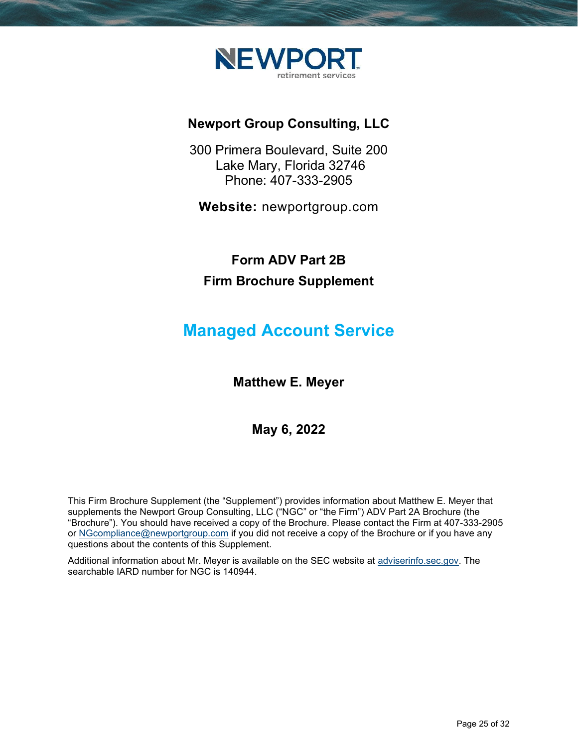

# Newport Group Consulting, LLC

300 Primera Boulevard, Suite 200 Lake Mary, Florida 32746 Phone: 407-333-2905

Website: newportgroup.com

# Form ADV Part 2B Firm Brochure Supplement

# Managed Account Service

Matthew E. Meyer

## May 6, 2022

This Firm Brochure Supplement (the "Supplement") provides information about Matthew E. Meyer that supplements the Newport Group Consulting, LLC ("NGC" or "the Firm") ADV Part 2A Brochure (the "Brochure"). You should have received a copy of the Brochure. Please contact the Firm at 407-333-2905 or NGcompliance@newportgroup.com if you did not receive a copy of the Brochure or if you have any questions about the contents of this Supplement.

Additional information about Mr. Meyer is available on the SEC website at adviserinfo.sec.gov. The searchable IARD number for NGC is 140944.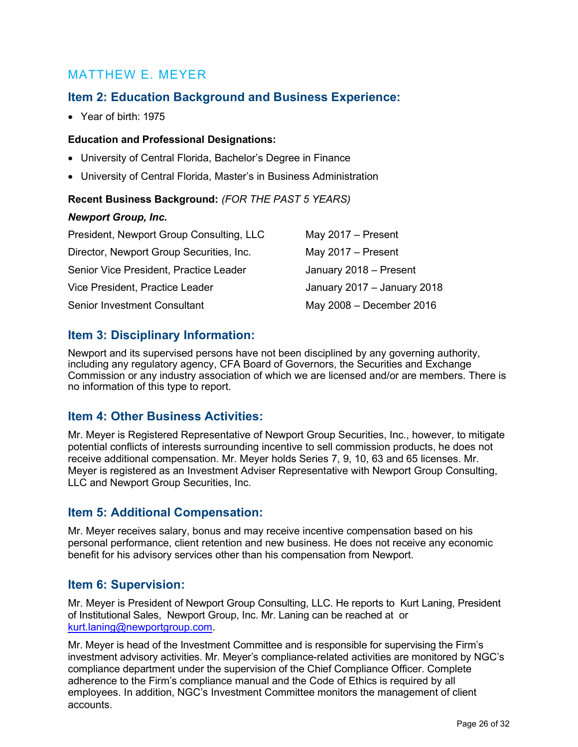## MATTHEW E. MEYER

## Item 2: Education Background and Business Experience:

Year of birth: 1975

### Education and Professional Designations:

- University of Central Florida, Bachelor's Degree in Finance
- University of Central Florida, Master's in Business Administration

### Recent Business Background: (FOR THE PAST 5 YEARS)

### Newport Group, Inc.

| President, Newport Group Consulting, LLC | May $2017 -$ Present        |
|------------------------------------------|-----------------------------|
| Director, Newport Group Securities, Inc. | May $2017 -$ Present        |
| Senior Vice President, Practice Leader   | January 2018 - Present      |
| Vice President, Practice Leader          | January 2017 - January 2018 |
| Senior Investment Consultant             | May 2008 - December 2016    |

## Item 3: Disciplinary Information:

Newport and its supervised persons have not been disciplined by any governing authority, including any regulatory agency, CFA Board of Governors, the Securities and Exchange Commission or any industry association of which we are licensed and/or are members. There is no information of this type to report.

## Item 4: Other Business Activities:

Mr. Meyer is Registered Representative of Newport Group Securities, Inc., however, to mitigate potential conflicts of interests surrounding incentive to sell commission products, he does not receive additional compensation. Mr. Meyer holds Series 7, 9, 10, 63 and 65 licenses. Mr. Meyer is registered as an Investment Adviser Representative with Newport Group Consulting, LLC and Newport Group Securities, Inc.

## Item 5: Additional Compensation:

Mr. Meyer receives salary, bonus and may receive incentive compensation based on his personal performance, client retention and new business. He does not receive any economic benefit for his advisory services other than his compensation from Newport.

### Item 6: Supervision:

Mr. Meyer is President of Newport Group Consulting, LLC. He reports to Kurt Laning, President of Institutional Sales, Newport Group, Inc. Mr. Laning can be reached at or kurt.laning@newportgroup.com.

Mr. Meyer is head of the Investment Committee and is responsible for supervising the Firm's investment advisory activities. Mr. Meyer's compliance-related activities are monitored by NGC's compliance department under the supervision of the Chief Compliance Officer. Complete adherence to the Firm's compliance manual and the Code of Ethics is required by all employees. In addition, NGC's Investment Committee monitors the management of client accounts.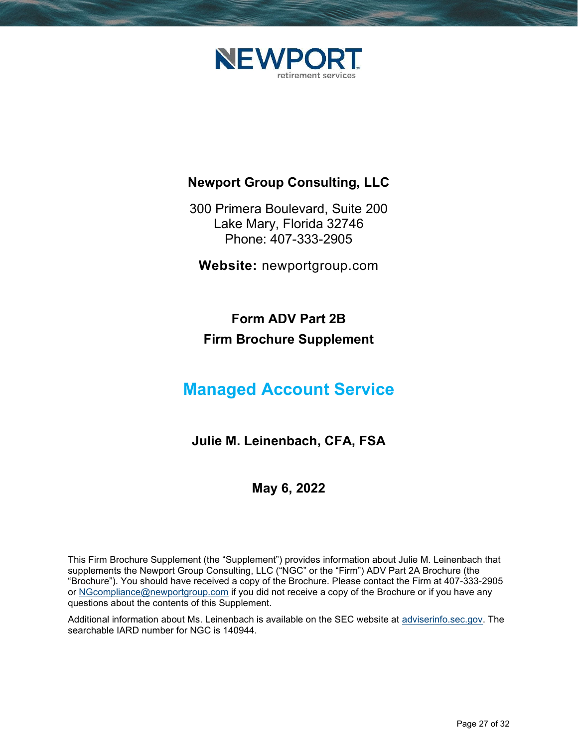

# Newport Group Consulting, LLC

300 Primera Boulevard, Suite 200 Lake Mary, Florida 32746 Phone: 407-333-2905

Website: newportgroup.com

# Form ADV Part 2B Firm Brochure Supplement

# Managed Account Service

# Julie M. Leinenbach, CFA, FSA

# May 6, 2022

This Firm Brochure Supplement (the "Supplement") provides information about Julie M. Leinenbach that supplements the Newport Group Consulting, LLC ("NGC" or the "Firm") ADV Part 2A Brochure (the "Brochure"). You should have received a copy of the Brochure. Please contact the Firm at 407-333-2905 or NGcompliance@newportgroup.com if you did not receive a copy of the Brochure or if you have any questions about the contents of this Supplement.

Additional information about Ms. Leinenbach is available on the SEC website at adviserinfo.sec.gov. The searchable IARD number for NGC is 140944.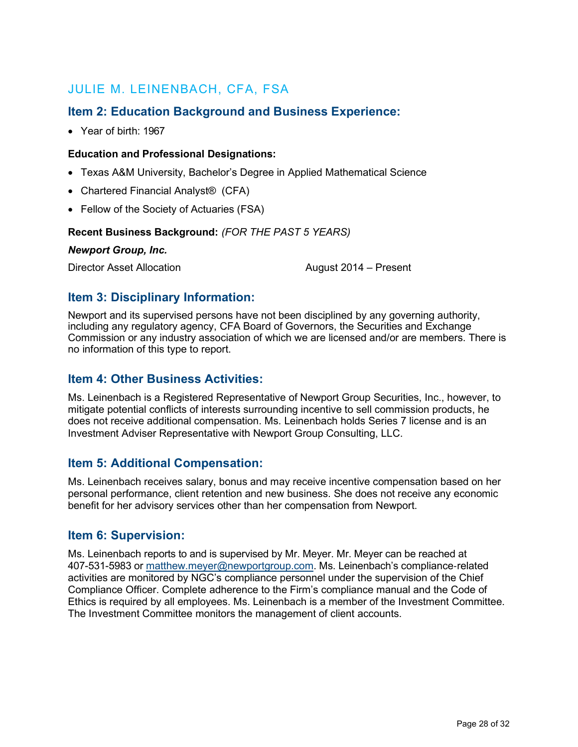# JULIE M. LEINENBACH, CFA, FSA

## Item 2: Education Background and Business Experience:

Year of birth: 1967

### Education and Professional Designations:

- Texas A&M University, Bachelor's Degree in Applied Mathematical Science
- Chartered Financial Analyst<sup>®</sup> (CFA)
- Fellow of the Society of Actuaries (FSA)

### Recent Business Background: (FOR THE PAST 5 YEARS)

Newport Group, Inc.

Director Asset Allocation **August 2014** – Present

## Item 3: Disciplinary Information:

Newport and its supervised persons have not been disciplined by any governing authority, including any regulatory agency, CFA Board of Governors, the Securities and Exchange Commission or any industry association of which we are licensed and/or are members. There is no information of this type to report.

## Item 4: Other Business Activities:

Ms. Leinenbach is a Registered Representative of Newport Group Securities, Inc., however, to mitigate potential conflicts of interests surrounding incentive to sell commission products, he does not receive additional compensation. Ms. Leinenbach holds Series 7 license and is an Investment Adviser Representative with Newport Group Consulting, LLC.

## Item 5: Additional Compensation:

Ms. Leinenbach receives salary, bonus and may receive incentive compensation based on her personal performance, client retention and new business. She does not receive any economic benefit for her advisory services other than her compensation from Newport.

### Item 6: Supervision:

Ms. Leinenbach reports to and is supervised by Mr. Meyer. Mr. Meyer can be reached at 407-531-5983 or matthew.meyer@newportgroup.com. Ms. Leinenbach's compliance‐related activities are monitored by NGC's compliance personnel under the supervision of the Chief Compliance Officer. Complete adherence to the Firm's compliance manual and the Code of Ethics is required by all employees. Ms. Leinenbach is a member of the Investment Committee. The Investment Committee monitors the management of client accounts.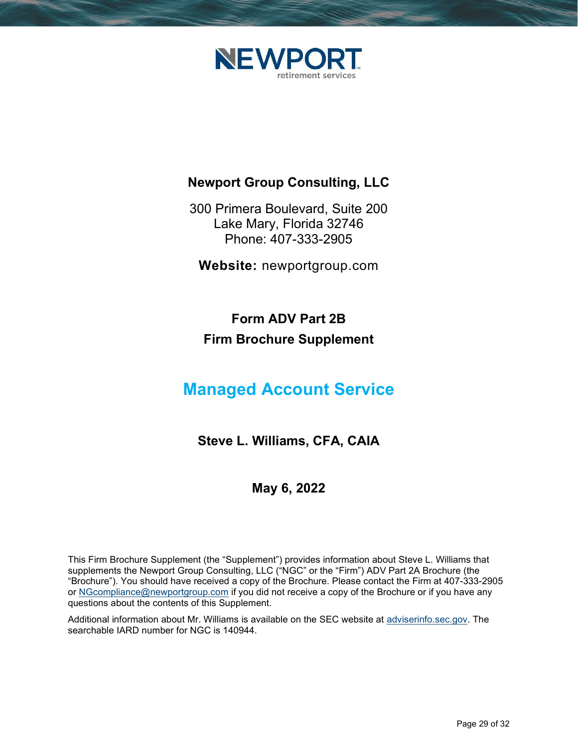

# Newport Group Consulting, LLC

300 Primera Boulevard, Suite 200 Lake Mary, Florida 32746 Phone: 407-333-2905

Website: newportgroup.com

# Form ADV Part 2B Firm Brochure Supplement

# Managed Account Service

# Steve L. Williams, CFA, CAIA

## May 6, 2022

This Firm Brochure Supplement (the "Supplement") provides information about Steve L. Williams that supplements the Newport Group Consulting, LLC ("NGC" or the "Firm") ADV Part 2A Brochure (the "Brochure"). You should have received a copy of the Brochure. Please contact the Firm at 407-333-2905 or NGcompliance@newportgroup.com if you did not receive a copy of the Brochure or if you have any questions about the contents of this Supplement.

Additional information about Mr. Williams is available on the SEC website at adviserinfo.sec.gov. The searchable IARD number for NGC is 140944.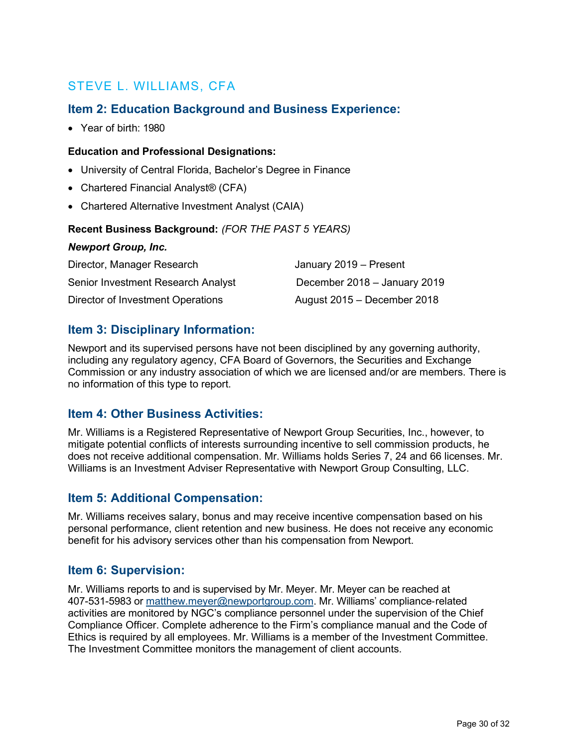# STEVE L. WILLIAMS, CFA

## Item 2: Education Background and Business Experience:

Year of birth: 1980

### Education and Professional Designations:

- University of Central Florida, Bachelor's Degree in Finance
- Chartered Financial Analyst<sup>®</sup> (CFA)
- Chartered Alternative Investment Analyst (CAIA)

### Recent Business Background: (FOR THE PAST 5 YEARS)

### Newport Group, Inc.

| Director, Manager Research         | January 2019 - Present       |
|------------------------------------|------------------------------|
| Senior Investment Research Analyst | December 2018 - January 2019 |
| Director of Investment Operations  | August 2015 - December 2018  |

## Item 3: Disciplinary Information:

Newport and its supervised persons have not been disciplined by any governing authority, including any regulatory agency, CFA Board of Governors, the Securities and Exchange Commission or any industry association of which we are licensed and/or are members. There is no information of this type to report.

## Item 4: Other Business Activities:

Mr. Williams is a Registered Representative of Newport Group Securities, Inc., however, to mitigate potential conflicts of interests surrounding incentive to sell commission products, he does not receive additional compensation. Mr. Williams holds Series 7, 24 and 66 licenses. Mr. Williams is an Investment Adviser Representative with Newport Group Consulting, LLC.

### Item 5: Additional Compensation:

Mr. Williams receives salary, bonus and may receive incentive compensation based on his personal performance, client retention and new business. He does not receive any economic benefit for his advisory services other than his compensation from Newport.

### Item 6: Supervision:

Mr. Williams reports to and is supervised by Mr. Meyer. Mr. Meyer can be reached at 407-531-5983 or matthew.meyer@newportgroup.com. Mr. Williams' compliance‐related activities are monitored by NGC's compliance personnel under the supervision of the Chief Compliance Officer. Complete adherence to the Firm's compliance manual and the Code of Ethics is required by all employees. Mr. Williams is a member of the Investment Committee. The Investment Committee monitors the management of client accounts.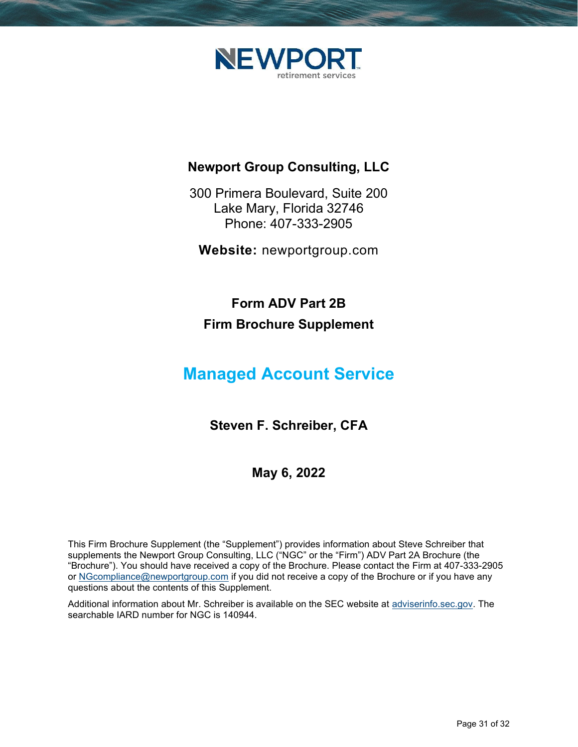

# Newport Group Consulting, LLC

300 Primera Boulevard, Suite 200 Lake Mary, Florida 32746 Phone: 407-333-2905

Website: newportgroup.com

Form ADV Part 2B Firm Brochure Supplement

# Managed Account Service

Steven F. Schreiber, CFA

May 6, 2022

This Firm Brochure Supplement (the "Supplement") provides information about Steve Schreiber that supplements the Newport Group Consulting, LLC ("NGC" or the "Firm") ADV Part 2A Brochure (the "Brochure"). You should have received a copy of the Brochure. Please contact the Firm at 407-333-2905 or NGcompliance@newportgroup.com if you did not receive a copy of the Brochure or if you have any questions about the contents of this Supplement.

Additional information about Mr. Schreiber is available on the SEC website at adviserinfo.sec.gov. The searchable IARD number for NGC is 140944.